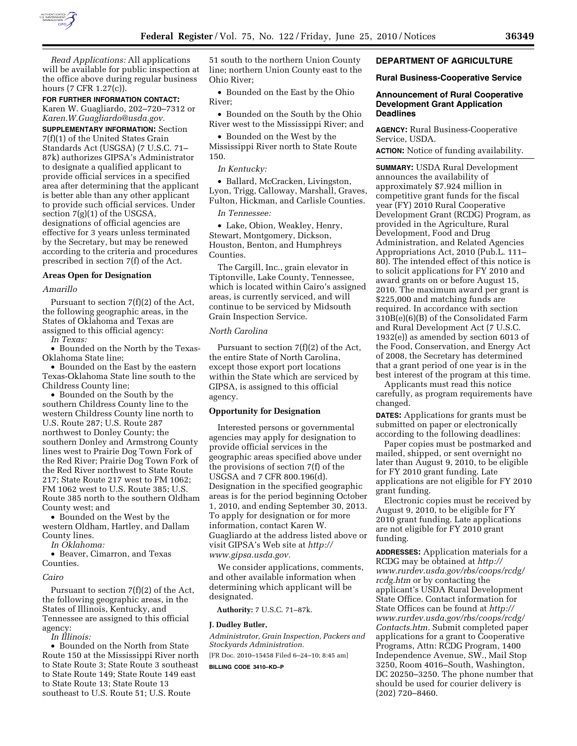

*Read Applications:* All applications will be available for public inspection at the office above during regular business hours (7 CFR 1.27(c)).

**FOR FURTHER INFORMATION CONTACT:**  Karen W. Guagliardo, 202–720–7312 or *Karen.W.Guagliardo@usda.gov.* 

**SUPPLEMENTARY INFORMATION:** Section 7(f)(1) of the United States Grain Standards Act (USGSA) (7 U.S.C. 71– 87k) authorizes GIPSA's Administrator to designate a qualified applicant to provide official services in a specified area after determining that the applicant is better able than any other applicant to provide such official services. Under section 7(g)(1) of the USGSA, designations of official agencies are effective for 3 years unless terminated by the Secretary, but may be renewed according to the criteria and procedures prescribed in section 7(f) of the Act.

## **Areas Open for Designation**

#### *Amarillo*

Pursuant to section 7(f)(2) of the Act, the following geographic areas, in the States of Oklahoma and Texas are assigned to this official agency:

*In Texas:* 

• Bounded on the North by the Texas-Oklahoma State line;

• Bounded on the East by the eastern Texas-Oklahoma State line south to the Childress County line;

• Bounded on the South by the southern Childress County line to the western Childress County line north to U.S. Route 287; U.S. Route 287 northwest to Donley County; the southern Donley and Armstrong County lines west to Prairie Dog Town Fork of the Red River; Prairie Dog Town Fork of the Red River northwest to State Route 217; State Route 217 west to FM 1062; FM 1062 west to U.S. Route 385; U.S. Route 385 north to the southern Oldham County west; and

• Bounded on the West by the western Oldham, Hartley, and Dallam County lines.

*In Oklahoma:* 

• Beaver, Cimarron, and Texas **Counties** 

### *Cairo*

Pursuant to section 7(f)(2) of the Act, the following geographic areas, in the States of Illinois, Kentucky, and Tennessee are assigned to this official agency:

*In Illinois:* 

• Bounded on the North from State Route 150 at the Mississippi River north to State Route 3; State Route 3 southeast to State Route 149; State Route 149 east to State Route 13; State Route 13 southeast to U.S. Route 51; U.S. Route

51 south to the northern Union County line; northern Union County east to the Ohio River;

• Bounded on the East by the Ohio River;

• Bounded on the South by the Ohio River west to the Mississippi River; and

• Bounded on the West by the Mississippi River north to State Route 150.

### *In Kentucky:*

• Ballard, McCracken, Livingston, Lyon, Trigg, Calloway, Marshall, Graves, Fulton, Hickman, and Carlisle Counties.

#### *In Tennessee:*

• Lake, Obion, Weakley, Henry, Stewart, Montgomery, Dickson, Houston, Benton, and Humphreys Counties.

The Cargill, Inc., grain elevator in Tiptonville, Lake County, Tennessee, which is located within Cairo's assigned areas, is currently serviced, and will continue to be serviced by Midsouth Grain Inspection Service.

### *North Carolina*

Pursuant to section 7(f)(2) of the Act, the entire State of North Carolina, except those export port locations within the State which are serviced by GIPSA, is assigned to this official agency.

### **Opportunity for Designation**

Interested persons or governmental agencies may apply for designation to provide official services in the geographic areas specified above under the provisions of section 7(f) of the USGSA and 7 CFR 800.196(d). Designation in the specified geographic areas is for the period beginning October 1, 2010, and ending September 30, 2013. To apply for designation or for more information, contact Karen W. Guagliardo at the address listed above or visit GIPSA's Web site at *http:// www.gipsa.usda.gov.* 

We consider applications, comments, and other available information when determining which applicant will be designated.

**Authority:** 7 U.S.C. 71–87k.

#### **J. Dudley Butler,**

*Administrator, Grain Inspection, Packers and Stockyards Administration.* 

[FR Doc. 2010–15458 Filed 6–24–10; 8:45 am]

**BILLING CODE 3410–KD–P** 

## **DEPARTMENT OF AGRICULTURE**

## **Rural Business-Cooperative Service**

## **Announcement of Rural Cooperative Development Grant Application Deadlines**

**AGENCY:** Rural Business-Cooperative Service, USDA.

**ACTION:** Notice of funding availability.

**SUMMARY:** USDA Rural Development announces the availability of approximately \$7.924 million in competitive grant funds for the fiscal year (FY) 2010 Rural Cooperative Development Grant (RCDG) Program, as provided in the Agriculture, Rural Development, Food and Drug Administration, and Related Agencies Appropriations Act, 2010 (Pub.L. 111– 80). The intended effect of this notice is to solicit applications for FY 2010 and award grants on or before August 15, 2010. The maximum award per grant is \$225,000 and matching funds are required. In accordance with section 310B(e)(6)(B) of the Consolidated Farm and Rural Development Act (7 U.S.C. 1932(e)) as amended by section 6013 of the Food, Conservation, and Energy Act of 2008, the Secretary has determined that a grant period of one year is in the best interest of the program at this time.

Applicants must read this notice carefully, as program requirements have changed.

**DATES:** Applications for grants must be submitted on paper or electronically according to the following deadlines:

Paper copies must be postmarked and mailed, shipped, or sent overnight no later than August 9, 2010, to be eligible for FY 2010 grant funding. Late applications are not eligible for FY 2010 grant funding.

Electronic copies must be received by August 9, 2010, to be eligible for FY 2010 grant funding. Late applications are not eligible for FY 2010 grant funding.

**ADDRESSES:** Application materials for a RCDG may be obtained at *http:// www.rurdev.usda.gov/rbs/coops/rcdg/ rcdg.htm* or by contacting the applicant's USDA Rural Development State Office. Contact information for State Offices can be found at *http:// www.rurdev.usda.gov/rbs/coops/rcdg/ Contacts.htm.* Submit completed paper applications for a grant to Cooperative Programs, Attn: RCDG Program, 1400 Independence Avenue, SW., Mail Stop 3250, Room 4016–South, Washington, DC 20250–3250. The phone number that should be used for courier delivery is (202) 720–8460.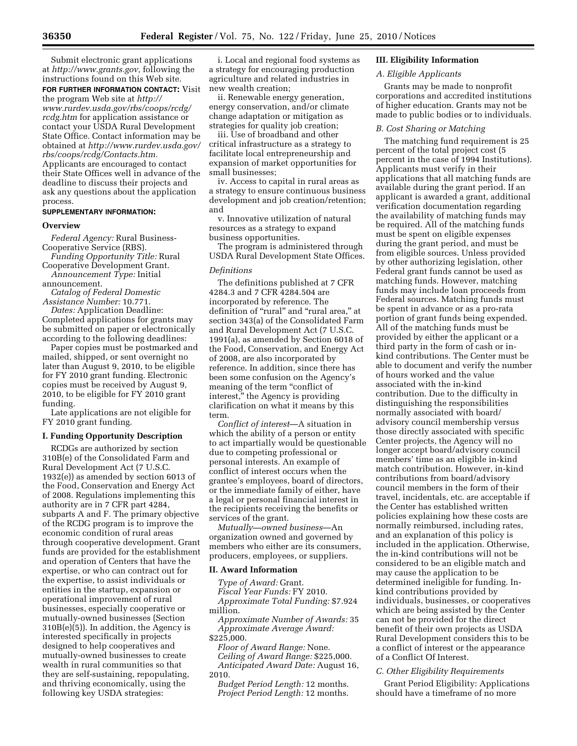Submit electronic grant applications at *http://www.grants.gov,* following the instructions found on this Web site.

**FOR FURTHER INFORMATION CONTACT:** Visit the program Web site at *http:// www.rurdev.usda.gov/rbs/coops/rcdg/ rcdg.htm* for application assistance or contact your USDA Rural Development State Office. Contact information may be obtained at *http://www.rurdev.usda.gov/ rbs/coops/rcdg/Contacts.htm.*  Applicants are encouraged to contact their State Offices well in advance of the deadline to discuss their projects and ask any questions about the application process.

# **SUPPLEMENTARY INFORMATION:**

### **Overview**

*Federal Agency:* Rural Business-Cooperative Service (RBS).

*Funding Opportunity Title:* Rural Cooperative Development Grant.

*Announcement Type:* Initial announcement.

*Catalog of Federal Domestic* 

*Assistance Number:* 10.771.

*Dates:* Application Deadline: Completed applications for grants may be submitted on paper or electronically according to the following deadlines:

Paper copies must be postmarked and mailed, shipped, or sent overnight no later than August 9, 2010, to be eligible for FY 2010 grant funding. Electronic copies must be received by August 9, 2010, to be eligible for FY 2010 grant funding.

Late applications are not eligible for FY 2010 grant funding.

# **I. Funding Opportunity Description**

RCDGs are authorized by section 310B(e) of the Consolidated Farm and Rural Development Act (7 U.S.C. 1932(e)) as amended by section 6013 of the Food, Conservation and Energy Act of 2008. Regulations implementing this authority are in 7 CFR part 4284, subparts A and F. The primary objective of the RCDG program is to improve the economic condition of rural areas through cooperative development. Grant funds are provided for the establishment and operation of Centers that have the expertise, or who can contract out for the expertise, to assist individuals or entities in the startup, expansion or operational improvement of rural businesses, especially cooperative or mutually-owned businesses (Section 310B(e)(5)). In addition, the Agency is interested specifically in projects designed to help cooperatives and mutually-owned businesses to create wealth in rural communities so that they are self-sustaining, repopulating, and thriving economically, using the following key USDA strategies:

i. Local and regional food systems as a strategy for encouraging production agriculture and related industries in new wealth creation;

ii. Renewable energy generation, energy conservation, and/or climate change adaptation or mitigation as strategies for quality job creation;

iii. Use of broadband and other critical infrastructure as a strategy to facilitate local entrepreneurship and expansion of market opportunities for small businesses;

iv. Access to capital in rural areas as a strategy to ensure continuous business development and job creation/retention; and

v. Innovative utilization of natural resources as a strategy to expand business opportunities.

The program is administered through USDA Rural Development State Offices.

### *Definitions*

The definitions published at 7 CFR 4284.3 and 7 CFR 4284.504 are incorporated by reference. The definition of "rural" and "rural area," at section 343(a) of the Consolidated Farm and Rural Development Act (7 U.S.C. 1991(a), as amended by Section 6018 of the Food, Conservation, and Energy Act of 2008, are also incorporated by reference. In addition, since there has been some confusion on the Agency's meaning of the term "conflict of interest,'' the Agency is providing clarification on what it means by this term.

*Conflict of interest*—A situation in which the ability of a person or entity to act impartially would be questionable due to competing professional or personal interests. An example of conflict of interest occurs when the grantee's employees, board of directors, or the immediate family of either, have a legal or personal financial interest in the recipients receiving the benefits or services of the grant.

*Mutually—owned business*—An organization owned and governed by members who either are its consumers, producers, employees, or suppliers.

### **II. Award Information**

*Type of Award:* Grant. *Fiscal Year Funds:* FY 2010. *Approximate Total Funding:* \$7.924 million.

*Approximate Number of Awards:* 35 *Approximate Average Award:*  \$225,000.

*Floor of Award Range:* None. *Ceiling of Award Range:* \$225,000. *Anticipated Award Date:* August 16, 2010.

*Budget Period Length:* 12 months. *Project Period Length:* 12 months.

## **III. Eligibility Information**

### *A. Eligible Applicants*

Grants may be made to nonprofit corporations and accredited institutions of higher education. Grants may not be made to public bodies or to individuals.

## *B. Cost Sharing or Matching*

The matching fund requirement is 25 percent of the total project cost (5 percent in the case of 1994 Institutions). Applicants must verify in their applications that all matching funds are available during the grant period. If an applicant is awarded a grant, additional verification documentation regarding the availability of matching funds may be required. All of the matching funds must be spent on eligible expenses during the grant period, and must be from eligible sources. Unless provided by other authorizing legislation, other Federal grant funds cannot be used as matching funds. However, matching funds may include loan proceeds from Federal sources. Matching funds must be spent in advance or as a pro-rata portion of grant funds being expended. All of the matching funds must be provided by either the applicant or a third party in the form of cash or inkind contributions. The Center must be able to document and verify the number of hours worked and the value associated with the in-kind contribution. Due to the difficulty in distinguishing the responsibilities normally associated with board/ advisory council membership versus those directly associated with specific Center projects, the Agency will no longer accept board/advisory council members' time as an eligible in-kind match contribution. However, in-kind contributions from board/advisory council members in the form of their travel, incidentals, etc. are acceptable if the Center has established written policies explaining how these costs are normally reimbursed, including rates, and an explanation of this policy is included in the application. Otherwise, the in-kind contributions will not be considered to be an eligible match and may cause the application to be determined ineligible for funding. Inkind contributions provided by individuals, businesses, or cooperatives which are being assisted by the Center can not be provided for the direct benefit of their own projects as USDA Rural Development considers this to be a conflict of interest or the appearance of a Conflict Of Interest.

## *C. Other Eligibility Requirements*

Grant Period Eligibility: Applications should have a timeframe of no more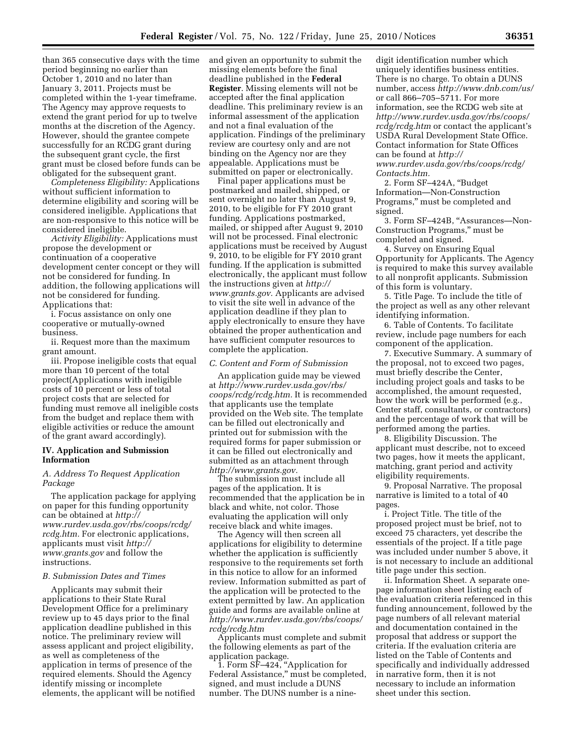than 365 consecutive days with the time period beginning no earlier than October 1, 2010 and no later than January 3, 2011. Projects must be completed within the 1-year timeframe. The Agency may approve requests to extend the grant period for up to twelve months at the discretion of the Agency. However, should the grantee compete successfully for an RCDG grant during the subsequent grant cycle, the first grant must be closed before funds can be obligated for the subsequent grant.

*Completeness Eligibility:* Applications without sufficient information to determine eligibility and scoring will be considered ineligible. Applications that are non-responsive to this notice will be considered ineligible.

*Activity Eligibility:* Applications must propose the development or continuation of a cooperative development center concept or they will not be considered for funding. In addition, the following applications will not be considered for funding. Applications that:

i. Focus assistance on only one cooperative or mutually-owned business.

ii. Request more than the maximum grant amount.

iii. Propose ineligible costs that equal more than 10 percent of the total project(Applications with ineligible costs of 10 percent or less of total project costs that are selected for funding must remove all ineligible costs from the budget and replace them with eligible activities or reduce the amount of the grant award accordingly).

# **IV. Application and Submission Information**

## *A. Address To Request Application Package*

The application package for applying on paper for this funding opportunity can be obtained at *http:// www.rurdev.usda.gov/rbs/coops/rcdg/ rcdg.htm.* For electronic applications, applicants must visit *http:// www.grants.gov* and follow the instructions.

### *B. Submission Dates and Times*

Applicants may submit their applications to their State Rural Development Office for a preliminary review up to 45 days prior to the final application deadline published in this notice. The preliminary review will assess applicant and project eligibility, as well as completeness of the application in terms of presence of the required elements. Should the Agency identify missing or incomplete elements, the applicant will be notified and given an opportunity to submit the missing elements before the final deadline published in the **Federal Register**. Missing elements will not be accepted after the final application deadline. This preliminary review is an informal assessment of the application and not a final evaluation of the application. Findings of the preliminary review are courtesy only and are not binding on the Agency nor are they appealable. Applications must be submitted on paper or electronically.

Final paper applications must be postmarked and mailed, shipped, or sent overnight no later than August 9, 2010, to be eligible for FY 2010 grant funding. Applications postmarked, mailed, or shipped after August 9, 2010 will not be processed. Final electronic applications must be received by August 9, 2010, to be eligible for FY 2010 grant funding. If the application is submitted electronically, the applicant must follow the instructions given at *http:// www.grants.gov.* Applicants are advised to visit the site well in advance of the application deadline if they plan to apply electronically to ensure they have obtained the proper authentication and have sufficient computer resources to complete the application.

# *C. Content and Form of Submission*

An application guide may be viewed at *http://www.rurdev.usda.gov/rbs/ coops/rcdg/rcdg.htm.* It is recommended that applicants use the template provided on the Web site. The template can be filled out electronically and printed out for submission with the required forms for paper submission or it can be filled out electronically and submitted as an attachment through *http://www.grants.gov.* 

The submission must include all pages of the application. It is recommended that the application be in black and white, not color. Those evaluating the application will only receive black and white images.

The Agency will then screen all applications for eligibility to determine whether the application is sufficiently responsive to the requirements set forth in this notice to allow for an informed review. Information submitted as part of the application will be protected to the extent permitted by law. An application guide and forms are available online at *http://www.rurdev.usda.gov/rbs/coops/ rcdg/rcdg.htm* 

Applicants must complete and submit the following elements as part of the application package.

1. Form SF–424, ''Application for Federal Assistance,'' must be completed, signed, and must include a DUNS number. The DUNS number is a nine-

digit identification number which uniquely identifies business entities. There is no charge. To obtain a DUNS number, access *http://www.dnb.com/us/*  or call 866–705–5711. For more information, see the RCDG web site at *http://www.rurdev.usda.gov/rbs/coops/ rcdg/rcdg.htm* or contact the applicant's USDA Rural Development State Office. Contact information for State Offices can be found at *http:// www.rurdev.usda.gov/rbs/coops/rcdg/ Contacts.htm.* 

2. Form SF–424A, ''Budget Information—Non-Construction Programs,'' must be completed and signed.

3. Form SF–424B, ''Assurances—Non-Construction Programs,'' must be completed and signed.

4. Survey on Ensuring Equal Opportunity for Applicants. The Agency is required to make this survey available to all nonprofit applicants. Submission of this form is voluntary.

5. Title Page. To include the title of the project as well as any other relevant identifying information.

6. Table of Contents. To facilitate review, include page numbers for each component of the application.

7. Executive Summary. A summary of the proposal, not to exceed two pages, must briefly describe the Center, including project goals and tasks to be accomplished, the amount requested, how the work will be performed (e.g., Center staff, consultants, or contractors) and the percentage of work that will be performed among the parties.

8. Eligibility Discussion. The applicant must describe, not to exceed two pages, how it meets the applicant, matching, grant period and activity eligibility requirements.

9. Proposal Narrative. The proposal narrative is limited to a total of 40 pages.

i. Project Title. The title of the proposed project must be brief, not to exceed 75 characters, yet describe the essentials of the project. If a title page was included under number 5 above, it is not necessary to include an additional title page under this section.

ii. Information Sheet. A separate onepage information sheet listing each of the evaluation criteria referenced in this funding announcement, followed by the page numbers of all relevant material and documentation contained in the proposal that address or support the criteria. If the evaluation criteria are listed on the Table of Contents and specifically and individually addressed in narrative form, then it is not necessary to include an information sheet under this section.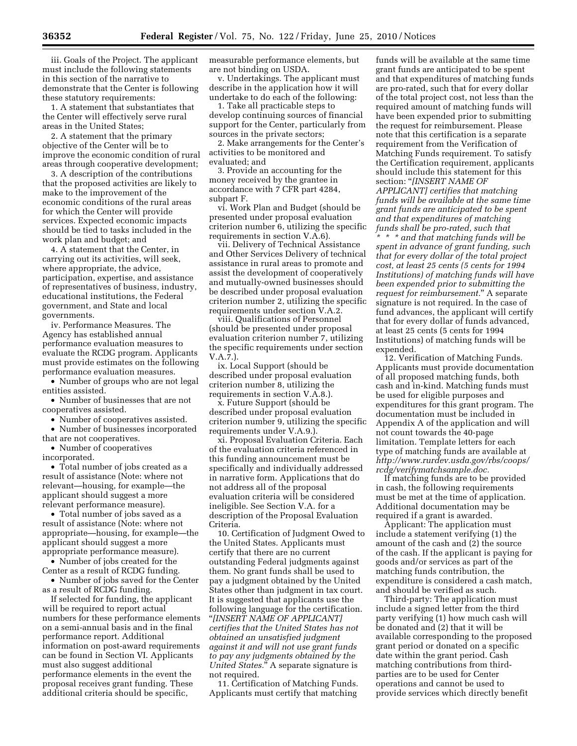iii. Goals of the Project. The applicant must include the following statements in this section of the narrative to demonstrate that the Center is following these statutory requirements:

1. A statement that substantiates that the Center will effectively serve rural areas in the United States;

2. A statement that the primary objective of the Center will be to improve the economic condition of rural areas through cooperative development;

3. A description of the contributions that the proposed activities are likely to make to the improvement of the economic conditions of the rural areas for which the Center will provide services. Expected economic impacts should be tied to tasks included in the work plan and budget; and

4. A statement that the Center, in carrying out its activities, will seek, where appropriate, the advice, participation, expertise, and assistance of representatives of business, industry, educational institutions, the Federal government, and State and local governments.

iv. Performance Measures. The Agency has established annual performance evaluation measures to evaluate the RCDG program. Applicants must provide estimates on the following performance evaluation measures.

• Number of groups who are not legal entities assisted.

• Number of businesses that are not cooperatives assisted.

• Number of cooperatives assisted.

• Number of businesses incorporated

that are not cooperatives. • Number of cooperatives

incorporated.

• Total number of jobs created as a result of assistance (Note: where not relevant—housing, for example—the applicant should suggest a more relevant performance measure).

• Total number of jobs saved as a result of assistance (Note: where not appropriate—housing, for example—the applicant should suggest a more appropriate performance measure).

• Number of jobs created for the Center as a result of RCDG funding.

• Number of jobs saved for the Center as a result of RCDG funding.

If selected for funding, the applicant will be required to report actual numbers for these performance elements on a semi-annual basis and in the final performance report. Additional information on post-award requirements can be found in Section VI. Applicants must also suggest additional performance elements in the event the proposal receives grant funding. These additional criteria should be specific,

measurable performance elements, but are not binding on USDA.

v. Undertakings. The applicant must describe in the application how it will undertake to do each of the following:

1. Take all practicable steps to develop continuing sources of financial support for the Center, particularly from sources in the private sectors;

2. Make arrangements for the Center's activities to be monitored and evaluated; and

3. Provide an accounting for the money received by the grantee in accordance with 7 CFR part 4284, subpart F.

vi. Work Plan and Budget (should be presented under proposal evaluation criterion number 6, utilizing the specific requirements in section V.A.6).

vii. Delivery of Technical Assistance and Other Services Delivery of technical assistance in rural areas to promote and assist the development of cooperatively and mutually-owned businesses should be described under proposal evaluation criterion number 2, utilizing the specific requirements under section V.A.2.

viii. Qualifications of Personnel (should be presented under proposal evaluation criterion number 7, utilizing the specific requirements under section V.A.7.).

ix. Local Support (should be described under proposal evaluation criterion number 8, utilizing the requirements in section V.A.8.).

x. Future Support (should be described under proposal evaluation criterion number 9, utilizing the specific requirements under V.A.9.).

xi. Proposal Evaluation Criteria. Each of the evaluation criteria referenced in this funding announcement must be specifically and individually addressed in narrative form. Applications that do not address all of the proposal evaluation criteria will be considered ineligible. See Section V.A. for a description of the Proposal Evaluation Criteria.

10. Certification of Judgment Owed to the United States. Applicants must certify that there are no current outstanding Federal judgments against them. No grant funds shall be used to pay a judgment obtained by the United States other than judgment in tax court. It is suggested that applicants use the following language for the certification. ''*[INSERT NAME OF APPLICANT] certifies that the United States has not obtained an unsatisfied judgment against it and will not use grant funds to pay any judgments obtained by the United States.*'' A separate signature is not required.

11. Certification of Matching Funds. Applicants must certify that matching

funds will be available at the same time grant funds are anticipated to be spent and that expenditures of matching funds are pro-rated, such that for every dollar of the total project cost, not less than the required amount of matching funds will have been expended prior to submitting the request for reimbursement. Please note that this certification is a separate requirement from the Verification of Matching Funds requirement. To satisfy the Certification requirement, applicants should include this statement for this section: ''*[INSERT NAME OF APPLICANT] certifies that matching funds will be available at the same time grant funds are anticipated to be spent and that expenditures of matching funds shall be pro-rated, such that* 

*\* \* \* and that matching funds will be spent in advance of grant funding, such that for every dollar of the total project cost, at least 25 cents (5 cents for 1994 Institutions) of matching funds will have been expended prior to submitting the request for reimbursement.*'' A separate signature is not required. In the case of fund advances, the applicant will certify that for every dollar of funds advanced, at least 25 cents (5 cents for 1994 Institutions) of matching funds will be expended.

12. Verification of Matching Funds. Applicants must provide documentation of all proposed matching funds, both cash and in-kind. Matching funds must be used for eligible purposes and expenditures for this grant program. The documentation must be included in Appendix A of the application and will not count towards the 40-page limitation. Template letters for each type of matching funds are available at *http://www.rurdev.usda.gov/rbs/coops/ rcdg/verifymatchsample.doc.* 

If matching funds are to be provided in cash, the following requirements must be met at the time of application. Additional documentation may be required if a grant is awarded.

Applicant: The application must include a statement verifying (1) the amount of the cash and (2) the source of the cash. If the applicant is paying for goods and/or services as part of the matching funds contribution, the expenditure is considered a cash match, and should be verified as such.

Third-party: The application must include a signed letter from the third party verifying (1) how much cash will be donated and (2) that it will be available corresponding to the proposed grant period or donated on a specific date within the grant period. Cash matching contributions from thirdparties are to be used for Center operations and cannot be used to provide services which directly benefit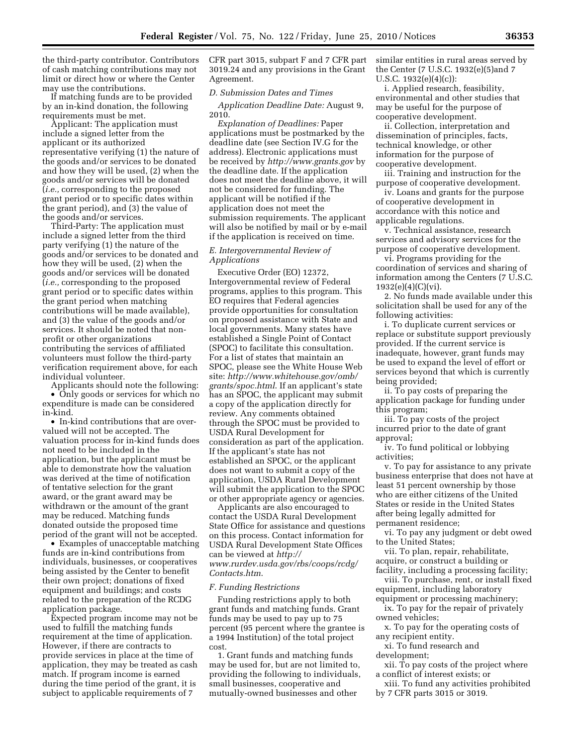the third-party contributor. Contributors of cash matching contributions may not limit or direct how or where the Center may use the contributions.

If matching funds are to be provided by an in-kind donation, the following requirements must be met.

Applicant: The application must include a signed letter from the applicant or its authorized representative verifying (1) the nature of the goods and/or services to be donated and how they will be used, (2) when the goods and/or services will be donated (*i.e.,* corresponding to the proposed grant period or to specific dates within the grant period), and (3) the value of the goods and/or services.

Third-Party: The application must include a signed letter from the third party verifying (1) the nature of the goods and/or services to be donated and how they will be used, (2) when the goods and/or services will be donated (*i.e.,* corresponding to the proposed grant period or to specific dates within the grant period when matching contributions will be made available), and (3) the value of the goods and/or services. It should be noted that nonprofit or other organizations contributing the services of affiliated volunteers must follow the third-party verification requirement above, for each individual volunteer.

Applicants should note the following:

• Only goods or services for which no expenditure is made can be considered in-kind.

• In-kind contributions that are overvalued will not be accepted. The valuation process for in-kind funds does not need to be included in the application, but the applicant must be able to demonstrate how the valuation was derived at the time of notification of tentative selection for the grant award, or the grant award may be withdrawn or the amount of the grant may be reduced. Matching funds donated outside the proposed time period of the grant will not be accepted.

• Examples of unacceptable matching funds are in-kind contributions from individuals, businesses, or cooperatives being assisted by the Center to benefit their own project; donations of fixed equipment and buildings; and costs related to the preparation of the RCDG application package.

Expected program income may not be used to fulfill the matching funds requirement at the time of application. However, if there are contracts to provide services in place at the time of application, they may be treated as cash match. If program income is earned during the time period of the grant, it is subject to applicable requirements of 7

CFR part 3015, subpart F and 7 CFR part 3019.24 and any provisions in the Grant Agreement.

### *D. Submission Dates and Times*

*Application Deadline Date:* August 9, 2010.

*Explanation of Deadlines:* Paper applications must be postmarked by the deadline date (see Section IV.G for the address). Electronic applications must be received by *http://www.grants.gov* by the deadline date. If the application does not meet the deadline above, it will not be considered for funding. The applicant will be notified if the application does not meet the submission requirements. The applicant will also be notified by mail or by e-mail if the application is received on time.

## *E. Intergovernmental Review of Applications*

Executive Order (EO) 12372, Intergovernmental review of Federal programs, applies to this program. This EO requires that Federal agencies provide opportunities for consultation on proposed assistance with State and local governments. Many states have established a Single Point of Contact (SPOC) to facilitate this consultation. For a list of states that maintain an SPOC, please see the White House Web site: *http://www.whitehouse.gov/omb/ grants/spoc.html*. If an applicant's state has an SPOC, the applicant may submit a copy of the application directly for review. Any comments obtained through the SPOC must be provided to USDA Rural Development for consideration as part of the application. If the applicant's state has not established an SPOC, or the applicant does not want to submit a copy of the application, USDA Rural Development will submit the application to the SPOC or other appropriate agency or agencies.

Applicants are also encouraged to contact the USDA Rural Development State Office for assistance and questions on this process. Contact information for USDA Rural Development State Offices can be viewed at *http:// www.rurdev.usda.gov/rbs/coops/rcdg/ Contacts.htm*.

### *F. Funding Restrictions*

Funding restrictions apply to both grant funds and matching funds. Grant funds may be used to pay up to 75 percent (95 percent where the grantee is a 1994 Institution) of the total project cost.

1. Grant funds and matching funds may be used for, but are not limited to, providing the following to individuals, small businesses, cooperative and mutually-owned businesses and other

similar entities in rural areas served by the Center (7 U.S.C. 1932(e)(5)and 7 U.S.C. 1932(e)(4)(c)):

i. Applied research, feasibility, environmental and other studies that may be useful for the purpose of cooperative development.

ii. Collection, interpretation and dissemination of principles, facts, technical knowledge, or other information for the purpose of cooperative development.

iii. Training and instruction for the purpose of cooperative development.

iv. Loans and grants for the purpose of cooperative development in accordance with this notice and applicable regulations.

v. Technical assistance, research services and advisory services for the purpose of cooperative development.

vi. Programs providing for the coordination of services and sharing of information among the Centers (7 U.S.C. 1932(e)(4)(C)(vi).

2. No funds made available under this solicitation shall be used for any of the following activities:

i. To duplicate current services or replace or substitute support previously provided. If the current service is inadequate, however, grant funds may be used to expand the level of effort or services beyond that which is currently being provided;

ii. To pay costs of preparing the application package for funding under this program;

iii. To pay costs of the project incurred prior to the date of grant approval;

iv. To fund political or lobbying activities;

v. To pay for assistance to any private business enterprise that does not have at least 51 percent ownership by those who are either citizens of the United States or reside in the United States after being legally admitted for permanent residence;

vi. To pay any judgment or debt owed to the United States;

vii. To plan, repair, rehabilitate, acquire, or construct a building or

facility, including a processing facility;

viii. To purchase, rent, or install fixed equipment, including laboratory

equipment or processing machinery; ix. To pay for the repair of privately

owned vehicles;

x. To pay for the operating costs of any recipient entity.

xi. To fund research and

development;

xii. To pay costs of the project where a conflict of interest exists; or

xiii. To fund any activities prohibited by 7 CFR parts 3015 or 3019.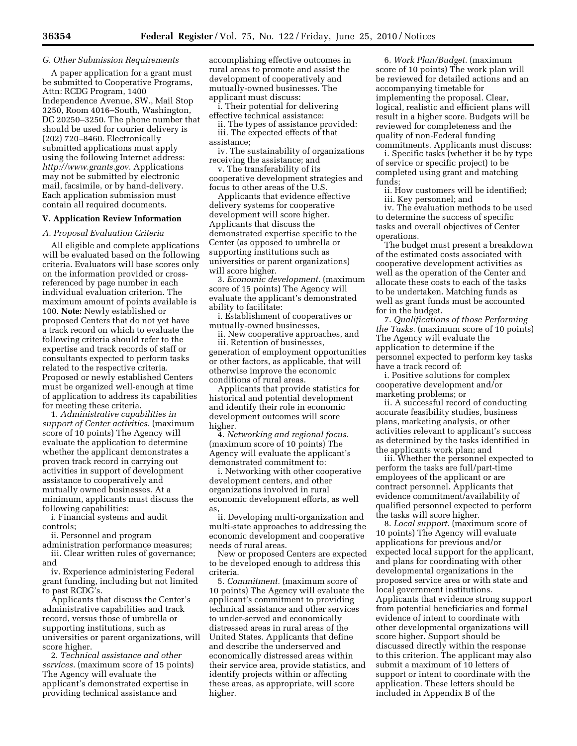# *G. Other Submission Requirements*

A paper application for a grant must be submitted to Cooperative Programs, Attn: RCDG Program, 1400 Independence Avenue, SW., Mail Stop 3250, Room 4016–South, Washington, DC 20250–3250. The phone number that should be used for courier delivery is (202) 720–8460. Electronically submitted applications must apply using the following Internet address: *http://www.grants.gov*. Applications may not be submitted by electronic mail, facsimile, or by hand-delivery. Each application submission must contain all required documents.

### **V. Application Review Information**

# *A. Proposal Evaluation Criteria*

All eligible and complete applications will be evaluated based on the following criteria. Evaluators will base scores only on the information provided or crossreferenced by page number in each individual evaluation criterion. The maximum amount of points available is 100. **Note:** Newly established or proposed Centers that do not yet have a track record on which to evaluate the following criteria should refer to the expertise and track records of staff or consultants expected to perform tasks related to the respective criteria. Proposed or newly established Centers must be organized well-enough at time of application to address its capabilities for meeting these criteria.

1. *Administrative capabilities in support of Center activities.* (maximum score of 10 points) The Agency will evaluate the application to determine whether the applicant demonstrates a proven track record in carrying out activities in support of development assistance to cooperatively and mutually owned businesses. At a minimum, applicants must discuss the following capabilities:

i. Financial systems and audit controls;

ii. Personnel and program

administration performance measures; iii. Clear written rules of governance;

and iv. Experience administering Federal grant funding, including but not limited

to past RCDG's. Applicants that discuss the Center's administrative capabilities and track record, versus those of umbrella or supporting institutions, such as universities or parent organizations, will score higher.

2. *Technical assistance and other services.* (maximum score of 15 points) The Agency will evaluate the applicant's demonstrated expertise in providing technical assistance and

accomplishing effective outcomes in rural areas to promote and assist the development of cooperatively and mutually-owned businesses. The applicant must discuss:

i. Their potential for delivering effective technical assistance:

ii. The types of assistance provided: iii. The expected effects of that

assistance; iv. The sustainability of organizations

receiving the assistance; and v. The transferability of its

cooperative development strategies and focus to other areas of the U.S.

Applicants that evidence effective delivery systems for cooperative development will score higher. Applicants that discuss the demonstrated expertise specific to the Center (as opposed to umbrella or supporting institutions such as universities or parent organizations) will score higher.

3. *Economic development.* (maximum score of 15 points) The Agency will evaluate the applicant's demonstrated ability to facilitate:

i. Establishment of cooperatives or mutually-owned businesses,

ii. New cooperative approaches, and iii. Retention of businesses, generation of employment opportunities or other factors, as applicable, that will otherwise improve the economic conditions of rural areas.

Applicants that provide statistics for historical and potential development and identify their role in economic development outcomes will score higher.

4. *Networking and regional focus.*  (maximum score of 10 points) The Agency will evaluate the applicant's demonstrated commitment to:

i. Networking with other cooperative development centers, and other organizations involved in rural economic development efforts, as well as,

ii. Developing multi-organization and multi-state approaches to addressing the economic development and cooperative needs of rural areas.

New or proposed Centers are expected to be developed enough to address this criteria.

5. *Commitment.* (maximum score of 10 points) The Agency will evaluate the applicant's commitment to providing technical assistance and other services to under-served and economically distressed areas in rural areas of the United States. Applicants that define and describe the underserved and economically distressed areas within their service area, provide statistics, and identify projects within or affecting these areas, as appropriate, will score higher.

6. *Work Plan/Budget.* (maximum score of 10 points) The work plan will be reviewed for detailed actions and an accompanying timetable for implementing the proposal. Clear, logical, realistic and efficient plans will result in a higher score. Budgets will be reviewed for completeness and the quality of non-Federal funding commitments. Applicants must discuss:

i. Specific tasks (whether it be by type of service or specific project) to be completed using grant and matching funds;

ii. How customers will be identified; iii. Key personnel; and

iv. The evaluation methods to be used to determine the success of specific tasks and overall objectives of Center operations.

The budget must present a breakdown of the estimated costs associated with cooperative development activities as well as the operation of the Center and allocate these costs to each of the tasks to be undertaken. Matching funds as well as grant funds must be accounted for in the budget.

7. *Qualifications of those Performing the Tasks.* (maximum score of 10 points) The Agency will evaluate the application to determine if the personnel expected to perform key tasks have a track record of:

i. Positive solutions for complex cooperative development and/or marketing problems; or

ii. A successful record of conducting accurate feasibility studies, business plans, marketing analysis, or other activities relevant to applicant's success as determined by the tasks identified in the applicants work plan; and

iii. Whether the personnel expected to perform the tasks are full/part-time employees of the applicant or are contract personnel. Applicants that evidence commitment/availability of qualified personnel expected to perform the tasks will score higher.

8. *Local support.* (maximum score of 10 points) The Agency will evaluate applications for previous and/or expected local support for the applicant, and plans for coordinating with other developmental organizations in the proposed service area or with state and local government institutions. Applicants that evidence strong support from potential beneficiaries and formal evidence of intent to coordinate with other developmental organizations will score higher. Support should be discussed directly within the response to this criterion. The applicant may also submit a maximum of 10 letters of support or intent to coordinate with the application. These letters should be included in Appendix B of the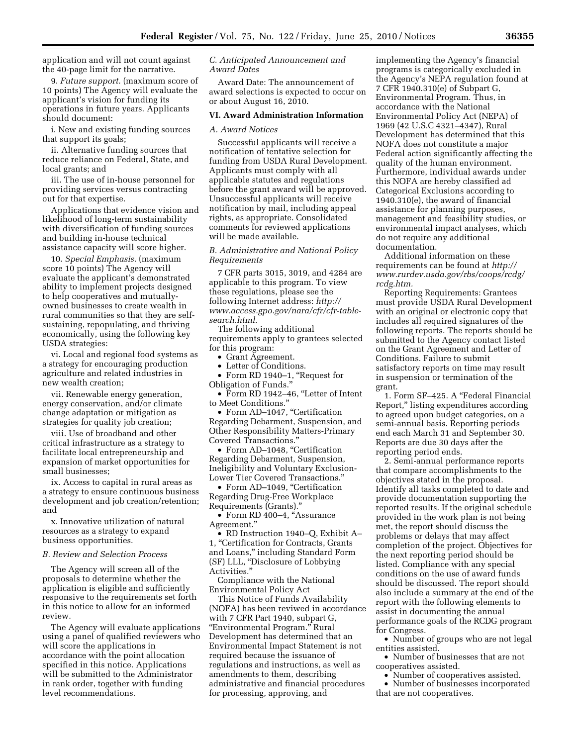application and will not count against the 40-page limit for the narrative.

9. *Future support.* (maximum score of 10 points) The Agency will evaluate the applicant's vision for funding its operations in future years. Applicants should document:

i. New and existing funding sources that support its goals;

ii. Alternative funding sources that reduce reliance on Federal, State, and local grants; and

iii. The use of in-house personnel for providing services versus contracting out for that expertise.

Applications that evidence vision and likelihood of long-term sustainability with diversification of funding sources and building in-house technical assistance capacity will score higher.

10. *Special Emphasis.* (maximum score 10 points) The Agency will evaluate the applicant's demonstrated ability to implement projects designed to help cooperatives and mutuallyowned businesses to create wealth in rural communities so that they are selfsustaining, repopulating, and thriving economically, using the following key USDA strategies:

vi. Local and regional food systems as a strategy for encouraging production agriculture and related industries in new wealth creation;

vii. Renewable energy generation, energy conservation, and/or climate change adaptation or mitigation as strategies for quality job creation;

viii. Use of broadband and other critical infrastructure as a strategy to facilitate local entrepreneurship and expansion of market opportunities for small businesses;

ix. Access to capital in rural areas as a strategy to ensure continuous business development and job creation/retention; and

x. Innovative utilization of natural resources as a strategy to expand business opportunities.

## *B. Review and Selection Process*

The Agency will screen all of the proposals to determine whether the application is eligible and sufficiently responsive to the requirements set forth in this notice to allow for an informed review.

The Agency will evaluate applications using a panel of qualified reviewers who will score the applications in accordance with the point allocation specified in this notice. Applications will be submitted to the Administrator in rank order, together with funding level recommendations.

# *C. Anticipated Announcement and Award Dates*

Award Date: The announcement of award selections is expected to occur on or about August 16, 2010.

## **VI. Award Administration Information**

# *A. Award Notices*

Successful applicants will receive a notification of tentative selection for funding from USDA Rural Development. Applicants must comply with all applicable statutes and regulations before the grant award will be approved. Unsuccessful applicants will receive notification by mail, including appeal rights, as appropriate. Consolidated comments for reviewed applications will be made available.

## *B. Administrative and National Policy Requirements*

7 CFR parts 3015, 3019, and 4284 are applicable to this program. To view these regulations, please see the following Internet address: *http:// www.access.gpo.gov/nara/cfr/cfr-tablesearch.html.* 

The following additional requirements apply to grantees selected for this program:

• Grant Agreement.

• Letter of Conditions.

• Form RD 1940–1, "Request for Obligation of Funds.''

• Form RD 1942–46, ''Letter of Intent to Meet Conditions.''

• Form AD–1047, ''Certification Regarding Debarment, Suspension, and Other Responsibility Matters-Primary Covered Transactions.''

• Form AD-1048, "Certification Regarding Debarment, Suspension, Ineligibility and Voluntary Exclusion-Lower Tier Covered Transactions.''

• Form AD-1049, "Certification Regarding Drug-Free Workplace Requirements (Grants).''

• Form RD 400-4, "Assurance Agreement.''

• RD Instruction 1940–Q, Exhibit A– 1, ''Certification for Contracts, Grants and Loans,'' including Standard Form (SF) LLL, ''Disclosure of Lobbying Activities.''

Compliance with the National Environmental Policy Act

This Notice of Funds Availability (NOFA) has been reviwed in accordance with 7 CFR Part 1940, subpart G, ''Environmental Program.'' Rural Development has determined that an Environmental Impact Statement is not required because the issuance of regulations and instructions, as well as amendments to them, describing administrative and financial procedures for processing, approving, and

implementing the Agency's financial programs is categorically excluded in the Agency's NEPA regulation found at 7 CFR 1940.310(e) of Subpart G, Environmental Program. Thus, in accordance with the National Environmental Policy Act (NEPA) of 1969 (42 U.S.C 4321–4347), Rural Development has determined that this NOFA does not constitute a major Federal action significantly affecting the quality of the human environment. Furthermore, individual awards under this NOFA are hereby classified ad Categorical Exclusions according to 1940.310(e), the award of financial assistance for planning purposes, management and feasibility studies, or environmental impact analyses, which do not require any additional documentation.

Additional information on these requirements can be found at *http:// www.rurdev.usda.gov/rbs/coops/rcdg/ rcdg.htm.* 

Reporting Requirements: Grantees must provide USDA Rural Development with an original or electronic copy that includes all required signatures of the following reports. The reports should be submitted to the Agency contact listed on the Grant Agreement and Letter of Conditions. Failure to submit satisfactory reports on time may result in suspension or termination of the grant.

1. Form SF–425. A ''Federal Financial Report,'' listing expenditures according to agreed upon budget categories, on a semi-annual basis. Reporting periods end each March 31 and September 30. Reports are due 30 days after the reporting period ends.

2. Semi-annual performance reports that compare accomplishments to the objectives stated in the proposal. Identify all tasks completed to date and provide documentation supporting the reported results. If the original schedule provided in the work plan is not being met, the report should discuss the problems or delays that may affect completion of the project. Objectives for the next reporting period should be listed. Compliance with any special conditions on the use of award funds should be discussed. The report should also include a summary at the end of the report with the following elements to assist in documenting the annual performance goals of the RCDG program for Congress.

• Number of groups who are not legal entities assisted.

• Number of businesses that are not cooperatives assisted.

• Number of cooperatives assisted.

• Number of businesses incorporated that are not cooperatives.